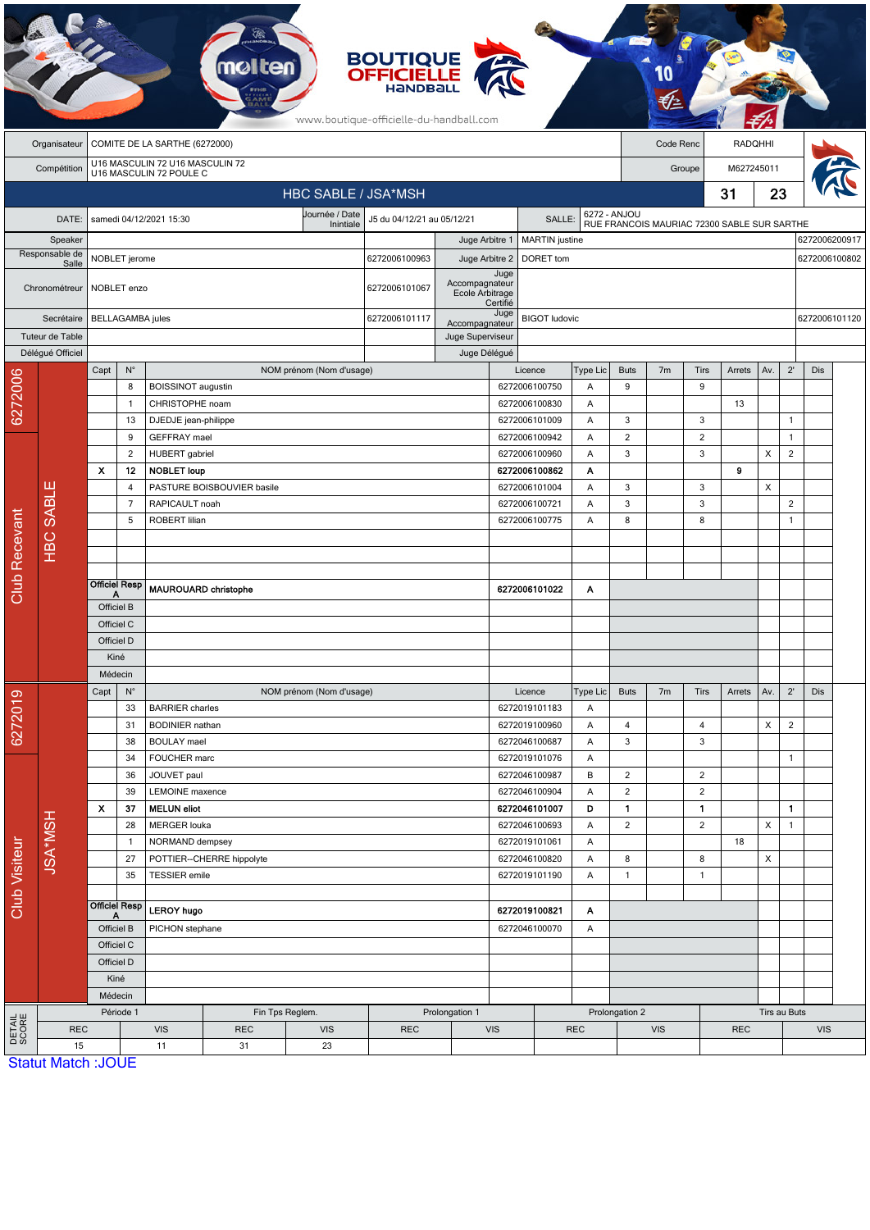|                           |                           |                                                                     |                      |                                                  |                                              |                                                        | <b>BOUTIQUE</b><br><b>OFFICIELLE</b><br>HANDBALL<br>www.boutique-officielle-du-handball.com |                                    |                                |                                          |              |                                             |                      |                     |         |              |                   |                                |  |
|---------------------------|---------------------------|---------------------------------------------------------------------|----------------------|--------------------------------------------------|----------------------------------------------|--------------------------------------------------------|---------------------------------------------------------------------------------------------|------------------------------------|--------------------------------|------------------------------------------|--------------|---------------------------------------------|----------------------|---------------------|---------|--------------|-------------------|--------------------------------|--|
|                           | Organisateur              | COMITE DE LA SARTHE (6272000)                                       |                      |                                                  |                                              |                                                        |                                                                                             |                                    |                                |                                          |              | Code Renc                                   |                      |                     | RADQHHI |              |                   |                                |  |
|                           | Compétition               | U16 MASCULIN 72 U16 MASCULIN 72<br>U16 MASCULIN 72 POULE C          |                      |                                                  |                                              |                                                        |                                                                                             |                                    |                                |                                          |              |                                             | M627245011<br>Groupe |                     |         |              |                   |                                |  |
|                           |                           |                                                                     |                      |                                                  |                                              | HBC SABLE / JSA*MSH                                    |                                                                                             |                                    |                                |                                          |              |                                             |                      |                     | 31      | 23           |                   |                                |  |
|                           |                           |                                                                     |                      |                                                  |                                              | Journée / Date<br>J5 du 04/12/21 au 05/12/21<br>SALLE: |                                                                                             |                                    |                                |                                          | 6272 - ANJOU |                                             |                      |                     |         |              |                   |                                |  |
|                           | DATE:                     |                                                                     |                      | samedi 04/12/2021 15:30                          |                                              |                                                        |                                                                                             |                                    |                                |                                          |              | RUE FRANCOIS MAURIAC 72300 SABLE SUR SARTHE |                      |                     |         |              |                   |                                |  |
| Speaker<br>Responsable de |                           |                                                                     |                      |                                                  |                                              |                                                        | 6272006100963                                                                               | Juge Arbitre 1<br>Juge Arbitre 2   |                                | <b>MARTIN</b> justine<br>DORET tom       |              |                                             |                      |                     |         |              |                   | 6272006200917<br>6272006100802 |  |
|                           | Salle<br>Chronométreur    | NOBLET jerome<br>NOBLET enzo                                        |                      |                                                  |                                              |                                                        | 6272006101067                                                                               | Accompagnateur<br>Ecole Arbitrage  | Juge                           |                                          |              |                                             |                      |                     |         |              |                   |                                |  |
| Secrétaire                |                           | <b>BELLAGAMBA</b> jules                                             |                      |                                                  |                                              |                                                        | 6272006101117                                                                               |                                    | Certifié<br>Juge               | <b>BIGOT</b> ludovic                     |              |                                             |                      |                     |         |              |                   | 6272006101120                  |  |
|                           | Tuteur de Table           |                                                                     |                      |                                                  |                                              |                                                        |                                                                                             | Accompagnateur<br>Juge Superviseur |                                |                                          |              |                                             |                      |                     |         |              |                   |                                |  |
|                           | Délégué Officiel          |                                                                     |                      |                                                  |                                              |                                                        |                                                                                             |                                    | Juge Délégué                   |                                          |              |                                             |                      |                     |         |              |                   |                                |  |
|                           |                           | Capt                                                                | $\mathsf{N}^\circ$   |                                                  |                                              | NOM prénom (Nom d'usage)                               |                                                                                             |                                    |                                | Licence                                  | Type Lic     | <b>Buts</b>                                 | 7 <sub>m</sub>       | Tirs                | Arrets  | Av.          | $2^{\prime}$      | Dis                            |  |
| 6272006                   |                           |                                                                     | 8                    | BOISSINOT augustin                               |                                              |                                                        |                                                                                             |                                    |                                | 6272006100750                            | Α            | 9                                           |                      | 9                   |         |              |                   |                                |  |
|                           |                           |                                                                     | $\mathbf{1}$         | CHRISTOPHE noam                                  |                                              |                                                        |                                                                                             |                                    |                                | 6272006100830<br>Α                       |              |                                             |                      |                     | 13      |              |                   |                                |  |
|                           |                           | 13<br>9                                                             |                      | DJEDJE jean-philippe<br>GEFFRAY mael             |                                              |                                                        |                                                                                             |                                    |                                | 6272006101009<br>6272006100942           | Α<br>Α       | $\sqrt{3}$<br>$\overline{c}$                |                      | 3<br>$\overline{c}$ |         |              | 1<br>$\mathbf{1}$ |                                |  |
|                           |                           |                                                                     | $\overline{2}$       | HUBERT gabriel                                   |                                              |                                                        |                                                                                             |                                    |                                | 6272006100960                            | Α            | 3                                           |                      | 3                   |         | X            | $\overline{2}$    |                                |  |
|                           |                           | X<br>12                                                             |                      | <b>NOBLET loup</b>                               |                                              |                                                        |                                                                                             |                                    |                                | 6272006100862                            | Α            |                                             |                      |                     | 9       |              |                   |                                |  |
|                           | ш<br><b>HBC SABLI</b>     |                                                                     | $\overline{4}$       |                                                  | PASTURE BOISBOUVIER basile<br>RAPICAULT noah |                                                        |                                                                                             |                                    |                                | 6272006101004<br>Α<br>6272006100721<br>Α |              | 3                                           |                      | 3                   |         | X            |                   |                                |  |
|                           |                           |                                                                     | $\overline{7}$       |                                                  |                                              |                                                        |                                                                                             |                                    |                                |                                          |              | $\sqrt{3}$                                  |                      | 3                   |         |              | $\overline{2}$    |                                |  |
|                           |                           |                                                                     | 5                    | ROBERT lilian                                    |                                              |                                                        |                                                                                             |                                    | 6272006100775                  |                                          | A            | 8                                           |                      | 8                   |         |              | $\mathbf{1}$      |                                |  |
|                           |                           |                                                                     |                      |                                                  |                                              |                                                        |                                                                                             |                                    |                                |                                          |              |                                             |                      |                     |         |              |                   |                                |  |
|                           |                           |                                                                     |                      |                                                  |                                              |                                                        |                                                                                             |                                    |                                |                                          |              |                                             |                      |                     |         |              |                   |                                |  |
| <b>Club Recevant</b>      |                           | <b>Officiel Resp</b>                                                |                      | <b>MAUROUARD christophe</b>                      |                                              |                                                        |                                                                                             |                                    |                                | 6272006101022                            | Α            |                                             |                      |                     |         |              |                   |                                |  |
|                           |                           | Α<br>Officiel B                                                     |                      |                                                  |                                              |                                                        |                                                                                             |                                    |                                |                                          |              |                                             |                      |                     |         |              |                   |                                |  |
|                           |                           | Officiel C                                                          |                      |                                                  |                                              |                                                        |                                                                                             |                                    |                                |                                          |              |                                             |                      |                     |         |              |                   |                                |  |
|                           |                           | Officiel D                                                          |                      |                                                  |                                              |                                                        |                                                                                             |                                    |                                |                                          |              |                                             |                      |                     |         |              |                   |                                |  |
|                           |                           | Kiné                                                                |                      |                                                  |                                              |                                                        |                                                                                             |                                    |                                |                                          |              |                                             |                      |                     |         |              |                   |                                |  |
|                           |                           | Médecin                                                             |                      |                                                  |                                              |                                                        |                                                                                             |                                    |                                |                                          |              |                                             |                      |                     |         |              |                   |                                |  |
| 6272019                   |                           | Capt                                                                | $N^{\circ}$          |                                                  |                                              | NOM prénom (Nom d'usage)                               |                                                                                             |                                    |                                | Licence                                  | Type Lic     | <b>Buts</b>                                 | 7 <sub>m</sub>       | <b>Tirs</b>         | Arrets  | Av.          | $2^{\prime}$      | Dis                            |  |
|                           |                           |                                                                     | 33<br>31             | <b>BARRIER</b> charles<br><b>BODINIER</b> nathan |                                              |                                                        |                                                                                             |                                    |                                | 6272019101183<br>6272019100960           | Α<br>Α       | $\overline{\mathbf{4}}$                     |                      | 4                   |         | X            | $\overline{2}$    |                                |  |
|                           |                           |                                                                     | 38                   | <b>BOULAY</b> mael                               |                                              |                                                        |                                                                                             |                                    |                                | 6272046100687                            | Α            | 3                                           |                      | 3                   |         |              |                   |                                |  |
|                           |                           |                                                                     | 34                   | FOUCHER marc                                     |                                              |                                                        |                                                                                             |                                    |                                | 6272019101076                            | Α            |                                             |                      |                     |         |              | $\mathbf{1}$      |                                |  |
|                           |                           |                                                                     | 36                   | JOUVET paul                                      |                                              |                                                        |                                                                                             |                                    |                                | 6272046100987                            | B            | $\overline{c}$                              |                      | $\overline{2}$      |         |              |                   |                                |  |
| Club Visiteur             |                           |                                                                     | 39                   | <b>LEMOINE</b> maxence                           |                                              |                                                        |                                                                                             |                                    |                                | 6272046100904                            | Α            | $\overline{2}$                              |                      | $\overline{c}$      |         |              |                   |                                |  |
|                           | <b>JSA*MSH</b>            | X                                                                   | 37                   | <b>MELUN eliot</b>                               |                                              |                                                        |                                                                                             | 6272046101007                      |                                | D                                        | 1.           |                                             | 1                    |                     |         | $\mathbf{1}$ |                   |                                |  |
|                           |                           |                                                                     | 28                   | <b>MERGER louka</b>                              |                                              |                                                        |                                                                                             |                                    |                                | 6272046100693                            | Α            | $\overline{2}$                              |                      | $\overline{c}$      |         | X            | $\mathbf{1}$      |                                |  |
|                           |                           |                                                                     | $\mathbf{1}$<br>27   | NORMAND dempsey<br>POTTIER--CHERRE hippolyte     |                                              |                                                        |                                                                                             |                                    | 6272019101061<br>6272046100820 |                                          | Α<br>Α       | 8                                           |                      | 8                   | 18      | X            |                   |                                |  |
|                           |                           |                                                                     | 35                   | <b>TESSIER</b> emile                             |                                              |                                                        |                                                                                             |                                    |                                | 6272019101190                            | Α            | $\mathbf{1}$                                |                      | $\mathbf{1}$        |         |              |                   |                                |  |
|                           |                           |                                                                     |                      |                                                  |                                              |                                                        |                                                                                             |                                    |                                |                                          |              |                                             |                      |                     |         |              |                   |                                |  |
|                           |                           | <b>Officiel Resp</b><br>A<br>Officiel B<br>Officiel C<br>Officiel D |                      | <b>LEROY hugo</b>                                |                                              |                                                        | 6272019100821                                                                               |                                    | A                              |                                          |              |                                             |                      |                     |         |              |                   |                                |  |
|                           |                           |                                                                     |                      | PICHON stephane                                  |                                              |                                                        |                                                                                             |                                    | 6272046100070                  |                                          | Α            |                                             |                      |                     |         |              |                   |                                |  |
|                           |                           |                                                                     |                      |                                                  |                                              |                                                        |                                                                                             |                                    |                                |                                          |              |                                             |                      |                     |         |              |                   |                                |  |
|                           |                           |                                                                     |                      |                                                  |                                              |                                                        |                                                                                             |                                    |                                |                                          |              |                                             |                      |                     |         |              |                   |                                |  |
|                           |                           |                                                                     | Kiné                 |                                                  |                                              |                                                        |                                                                                             |                                    |                                |                                          |              |                                             |                      |                     |         |              |                   |                                |  |
|                           |                           |                                                                     | Médecin<br>Période 1 |                                                  | Fin Tps Reglem.                              |                                                        |                                                                                             |                                    |                                | Prolongation 2                           |              |                                             |                      | Tirs au Buts        |         |              |                   |                                |  |
| DETAIL<br>SCORE           | <b>REC</b>                |                                                                     |                      | <b>VIS</b>                                       | <b>REC</b>                                   | Prolongation 1<br><b>REC</b>                           |                                                                                             | VIS                                |                                | <b>REC</b>                               |              | <b>VIS</b>                                  |                      | <b>REC</b>          |         | <b>VIS</b>   |                   |                                |  |
|                           | 15                        |                                                                     |                      | 11                                               | 31                                           | <b>VIS</b><br>23                                       |                                                                                             |                                    |                                |                                          |              |                                             |                      |                     |         |              |                   |                                |  |
|                           | <b>Statut Match: JOUE</b> |                                                                     |                      |                                                  |                                              |                                                        |                                                                                             |                                    |                                |                                          |              |                                             |                      |                     |         |              |                   |                                |  |